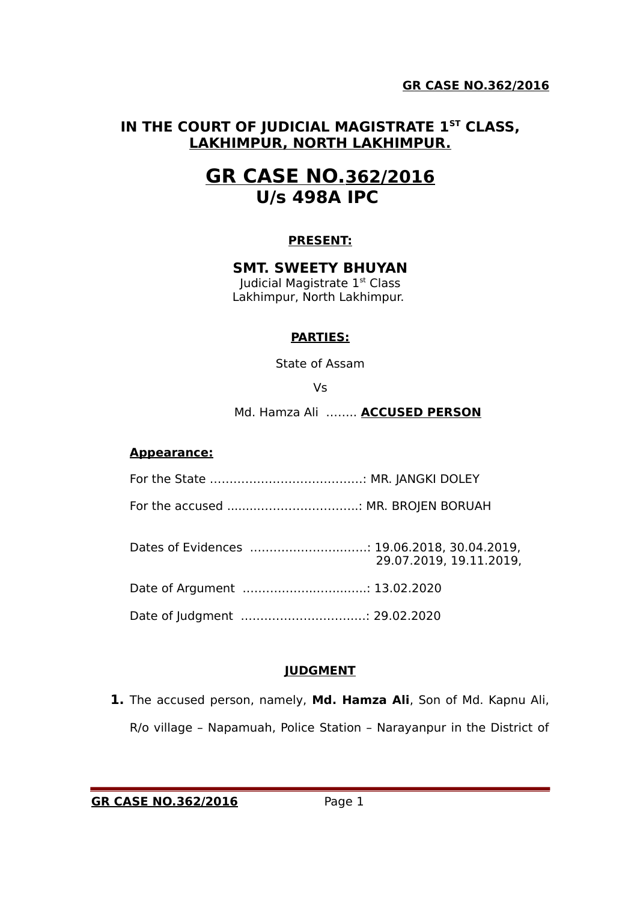# **IN THE COURT OF JUDICIAL MAGISTRATE 1ST CLASS, LAKHIMPUR, NORTH LAKHIMPUR.**

# **GR CASE NO.362/2016 U/s 498A IPC**

# **PRESENT:**

#### **SMT. SWEETY BHUYAN**

Judicial Magistrate 1st Class Lakhimpur, North Lakhimpur.

# **PARTIES:**

State of Assam

Vs

Md. Hamza Ali …….. **ACCUSED PERSON**

#### **Appearance:**

For the State …………………………………: MR. JANGKI DOLEY

For the accused ........……………………..: MR. BROJEN BORUAH

Dates of Evidences .…………………..……: 19.06.2018, 30.04.2019, 29.07.2019, 19.11.2019,

Date of Argument .……………..……...…..: 13.02.2020

Date of Judgment .……………………….…: 29.02.2020

# **JUDGMENT**

**1.** The accused person, namely, **Md. Hamza Ali**, Son of Md. Kapnu Ali, R/o village – Napamuah, Police Station – Narayanpur in the District of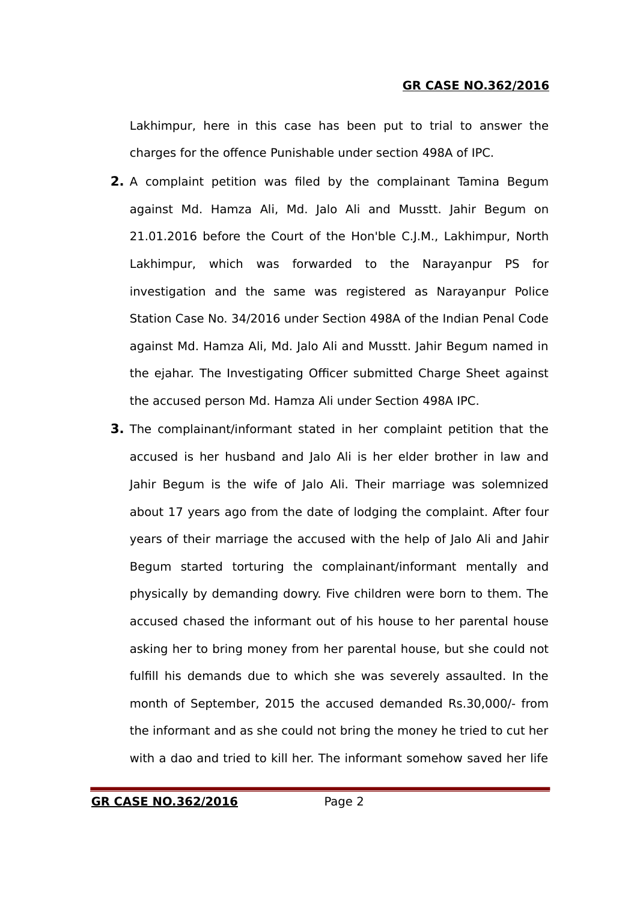Lakhimpur, here in this case has been put to trial to answer the charges for the offence Punishable under section 498A of IPC.

- **2.** A complaint petition was filed by the complainant Tamina Begum against Md. Hamza Ali, Md. Jalo Ali and Musstt. Jahir Begum on 21.01.2016 before the Court of the Hon'ble C.J.M., Lakhimpur, North Lakhimpur, which was forwarded to the Narayanpur PS for investigation and the same was registered as Narayanpur Police Station Case No. 34/2016 under Section 498A of the Indian Penal Code against Md. Hamza Ali, Md. Jalo Ali and Musstt. Jahir Begum named in the ejahar. The Investigating Officer submitted Charge Sheet against the accused person Md. Hamza Ali under Section 498A IPC.
- **3.** The complainant/informant stated in her complaint petition that the accused is her husband and Jalo Ali is her elder brother in law and Jahir Begum is the wife of Jalo Ali. Their marriage was solemnized about 17 years ago from the date of lodging the complaint. After four years of their marriage the accused with the help of Jalo Ali and Jahir Begum started torturing the complainant/informant mentally and physically by demanding dowry. Five children were born to them. The accused chased the informant out of his house to her parental house asking her to bring money from her parental house, but she could not fulfill his demands due to which she was severely assaulted. In the month of September, 2015 the accused demanded Rs.30,000/- from the informant and as she could not bring the money he tried to cut her with a dao and tried to kill her. The informant somehow saved her life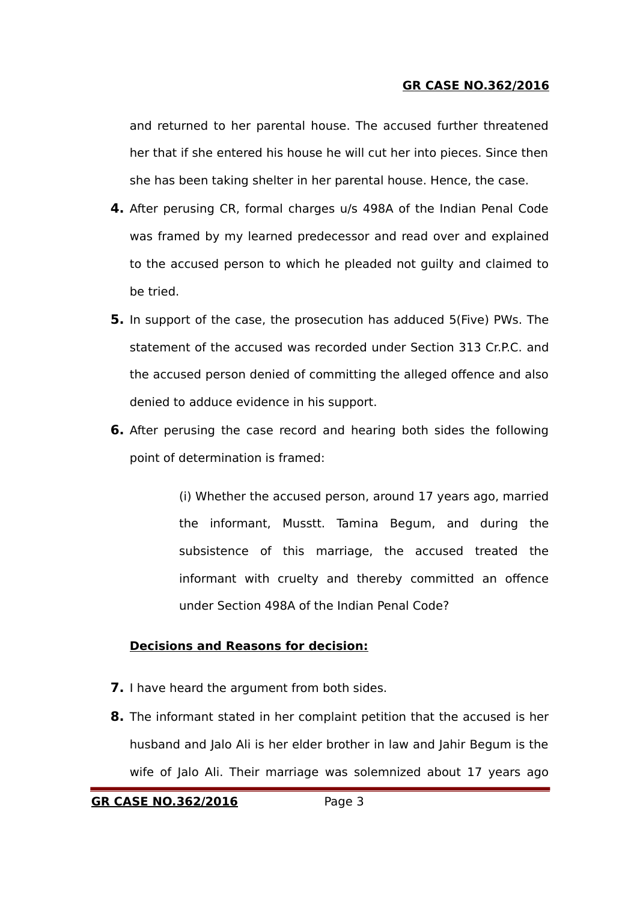and returned to her parental house. The accused further threatened her that if she entered his house he will cut her into pieces. Since then she has been taking shelter in her parental house. Hence, the case.

- **4.** After perusing CR, formal charges u/s 498A of the Indian Penal Code was framed by my learned predecessor and read over and explained to the accused person to which he pleaded not guilty and claimed to be tried.
- **5.** In support of the case, the prosecution has adduced 5(Five) PWs. The statement of the accused was recorded under Section 313 Cr.P.C. and the accused person denied of committing the alleged offence and also denied to adduce evidence in his support.
- **6.** After perusing the case record and hearing both sides the following point of determination is framed:

(i) Whether the accused person, around 17 years ago, married the informant, Musstt. Tamina Begum, and during the subsistence of this marriage, the accused treated the informant with cruelty and thereby committed an offence under Section 498A of the Indian Penal Code?

# **Decisions and Reasons for decision:**

- **7.** I have heard the argument from both sides.
- **8.** The informant stated in her complaint petition that the accused is her husband and Jalo Ali is her elder brother in law and Jahir Begum is the wife of Jalo Ali. Their marriage was solemnized about 17 years ago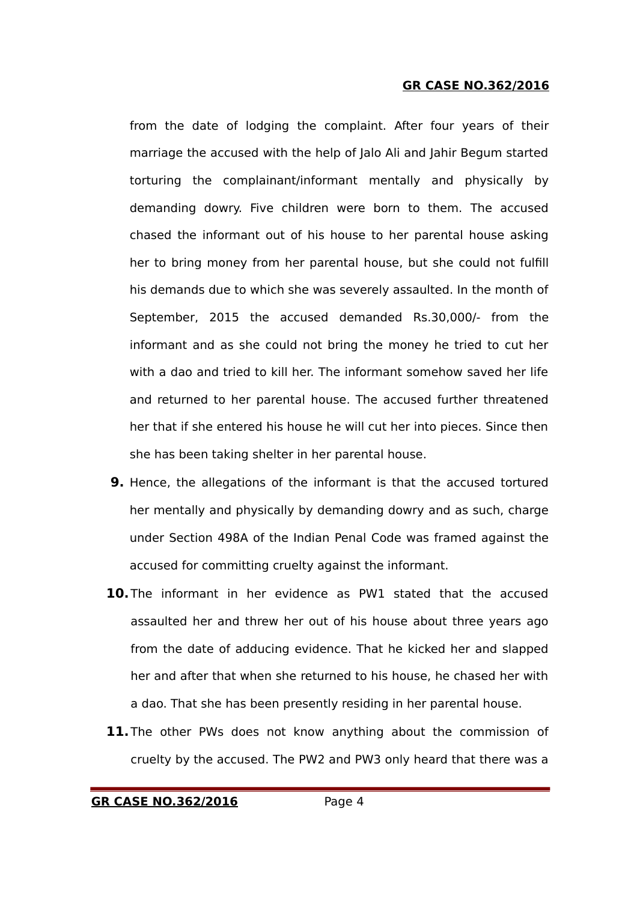from the date of lodging the complaint. After four years of their marriage the accused with the help of Jalo Ali and Jahir Begum started torturing the complainant/informant mentally and physically by demanding dowry. Five children were born to them. The accused chased the informant out of his house to her parental house asking her to bring money from her parental house, but she could not fulfill his demands due to which she was severely assaulted. In the month of September, 2015 the accused demanded Rs.30,000/- from the informant and as she could not bring the money he tried to cut her with a dao and tried to kill her. The informant somehow saved her life and returned to her parental house. The accused further threatened her that if she entered his house he will cut her into pieces. Since then she has been taking shelter in her parental house.

- **9.** Hence, the allegations of the informant is that the accused tortured her mentally and physically by demanding dowry and as such, charge under Section 498A of the Indian Penal Code was framed against the accused for committing cruelty against the informant.
- **10.**The informant in her evidence as PW1 stated that the accused assaulted her and threw her out of his house about three years ago from the date of adducing evidence. That he kicked her and slapped her and after that when she returned to his house, he chased her with a dao. That she has been presently residing in her parental house.
- **11.**The other PWs does not know anything about the commission of cruelty by the accused. The PW2 and PW3 only heard that there was a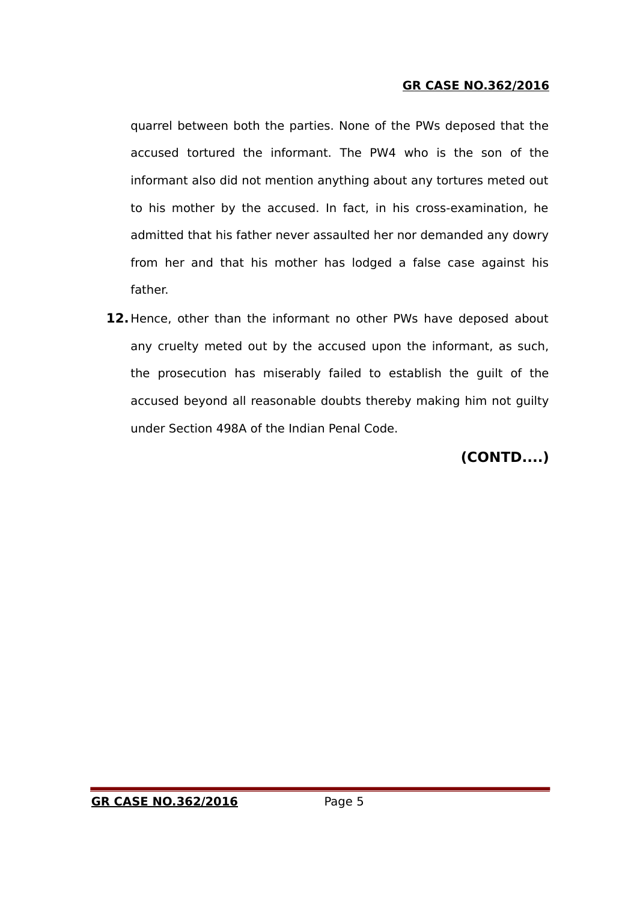quarrel between both the parties. None of the PWs deposed that the accused tortured the informant. The PW4 who is the son of the informant also did not mention anything about any tortures meted out to his mother by the accused. In fact, in his cross-examination, he admitted that his father never assaulted her nor demanded any dowry from her and that his mother has lodged a false case against his father.

**12.**Hence, other than the informant no other PWs have deposed about any cruelty meted out by the accused upon the informant, as such, the prosecution has miserably failed to establish the guilt of the accused beyond all reasonable doubts thereby making him not guilty under Section 498A of the Indian Penal Code.

**(CONTD....)**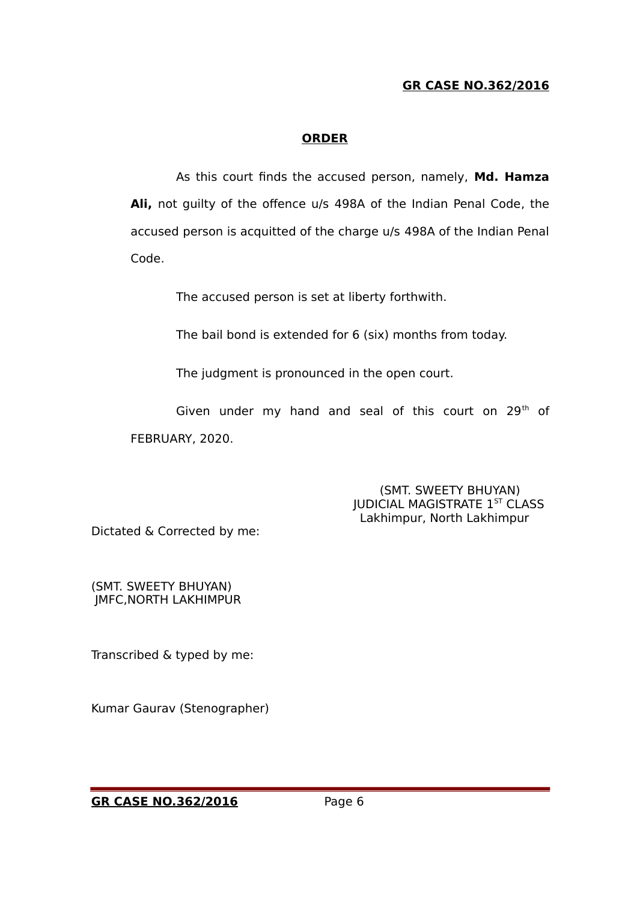# **ORDER**

As this court finds the accused person, namely, **Md. Hamza Ali,** not guilty of the offence u/s 498A of the Indian Penal Code, the accused person is acquitted of the charge u/s 498A of the Indian Penal Code.

The accused person is set at liberty forthwith.

The bail bond is extended for 6 (six) months from today.

The judgment is pronounced in the open court.

Given under my hand and seal of this court on 29<sup>th</sup> of FEBRUARY, 2020.

> (SMT. SWEETY BHUYAN) JUDICIAL MAGISTRATE 1<sup>ST</sup> CLASS Lakhimpur, North Lakhimpur

Dictated & Corrected by me:

(SMT. SWEETY BHUYAN) JMFC,NORTH LAKHIMPUR

Transcribed & typed by me:

Kumar Gaurav (Stenographer)